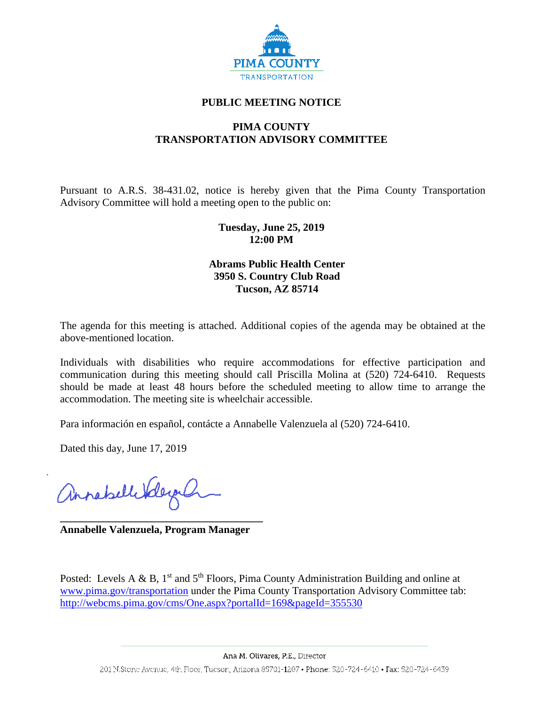

### **PUBLIC MEETING NOTICE**

## **PIMA COUNTY TRANSPORTATION ADVISORY COMMITTEE**

Pursuant to A.R.S. 38-431.02, notice is hereby given that the Pima County Transportation Advisory Committee will hold a meeting open to the public on:

## **Tuesday, June 25, 2019 12:00 PM**

## **Abrams Public Health Center 3950 S. Country Club Road Tucson, AZ 85714**

The agenda for this meeting is attached. Additional copies of the agenda may be obtained at the above-mentioned location.

Individuals with disabilities who require accommodations for effective participation and communication during this meeting should call Priscilla Molina at (520) 724-6410. Requests should be made at least 48 hours before the scheduled meeting to allow time to arrange the accommodation. The meeting site is wheelchair accessible.

Para información en español, contácte a Annabelle Valenzuela al (520) 724-6410.

Dated this day, June 17, 2019

annahellikley

**\_\_\_\_\_\_\_\_\_\_\_\_\_\_\_\_\_\_\_\_\_\_\_\_\_\_\_\_\_\_\_\_\_\_\_\_\_\_ Annabelle Valenzuela, Program Manager**

Posted: Levels A & B,  $1<sup>st</sup>$  and  $5<sup>th</sup>$  Floors, Pima County Administration Building and online at [www.pima.gov/transportation](http://www.pima.gov/transportation) under the Pima County Transportation Advisory Committee tab: <http://webcms.pima.gov/cms/One.aspx?portalId=169&pageId=355530>